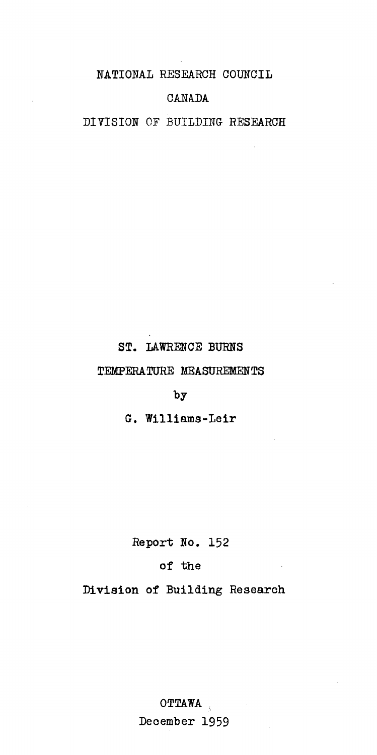NATIONAL RESEARCH COUNCIL

## **CANADA**

DIVISION OF BUILDING RESEARCH

## ST. LAWRENCE BURNS

## TEMPERATURE MEASUREMENTS

by

G. Williams-Leir

Report *No. 152*

## of the

Division of Building Research

OTTAWA \ December 1959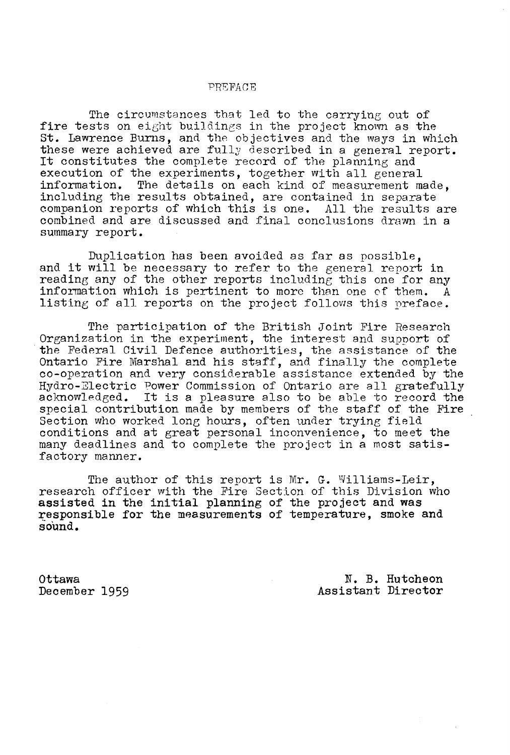#### -PREFACE

The circumstances that led to the carrying out of fire tests on eight buildings in the project known as the st. Lawrence Burns, and the objectives and the ways in which these were achieved are fully described in a general report. It constitutes the complete record of the planning and execution of the experiments, together with all general<br>information. The details on each kind of measurement m The details on each kind of measurement made, including the results obtained, are contained in separate companion reports of which this is one. All the results are combined and are discussed and final conclusions drawn in a summary report.

Duplication has been avoided as far as possible, and it will be necessary to refer to the general report in reading any of the other reports including this one for any information which is pertinent to more than one of them. A listing of all reports on the project follows this preface.

The participation of the British Joint Fire Research Organization in the experiment, the interest and support of the Federal Civil Defence authorities, the assistance of the Ontario Fire Marshal and his staff, and finally the complete co-operation and very considerable assistance extended by the Hydro-Electric Power Commission of Ontario are all gratefully aclmowledged. It is <sup>a</sup> pleasure also to be able to record the special contribution made by members of the staff of the Fire Section who worked long hours, often under trying field conditions and at great personal inconvenience, to meet the many deadlines and to complete the project in a most satisfactory manner.

The author of this report is Mr. G. Williams-Leir, research officer with the Fire Section of this Division who assisted in the initial planning of the project and was responsible for the measurements of temperature, smoke and sound.

Ottawa December 1959

N. B. Hutcheon Assistant Director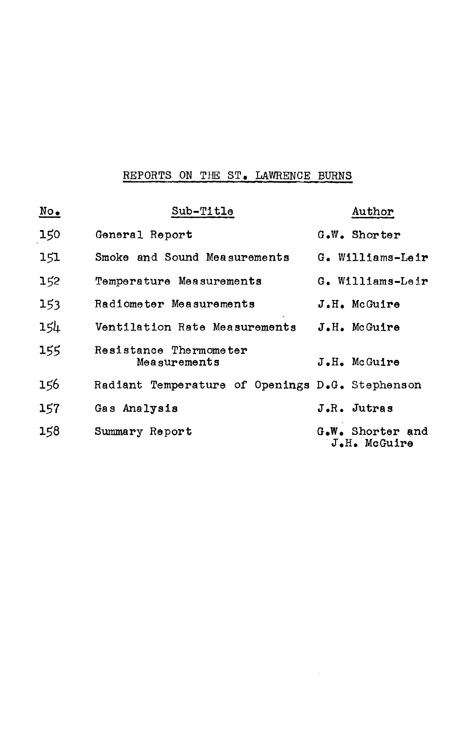## REPORTS ON THE ST. LAWRENCE BURNS

| $\underline{\text{No}}$ | Sub-Title                                       | Author                           |
|-------------------------|-------------------------------------------------|----------------------------------|
| 150                     | General Report                                  | G.W. Shorter                     |
| 151                     | Smoke and Sound Measurements                    | G. Williams-Leir                 |
| 152                     | Temperature Measurements                        | G. Williams-Leir                 |
| 153                     | Radiometer Measurements                         | J.H. McGuire                     |
| $15\mu$                 | Ventilation Rate Measurements                   | J.H. McGuire                     |
| 155                     | Resistance Thermometer<br>Measurements          | J.H. McGuire                     |
| 156                     | Radiant Temperature of Openings D.G. Stephenson |                                  |
| 157                     | Gas Analysis                                    | J.R. Jutras                      |
| 158                     | Summary Report                                  | G.W. Shorter and<br>J.H. McGuire |

 $\sim 10^6$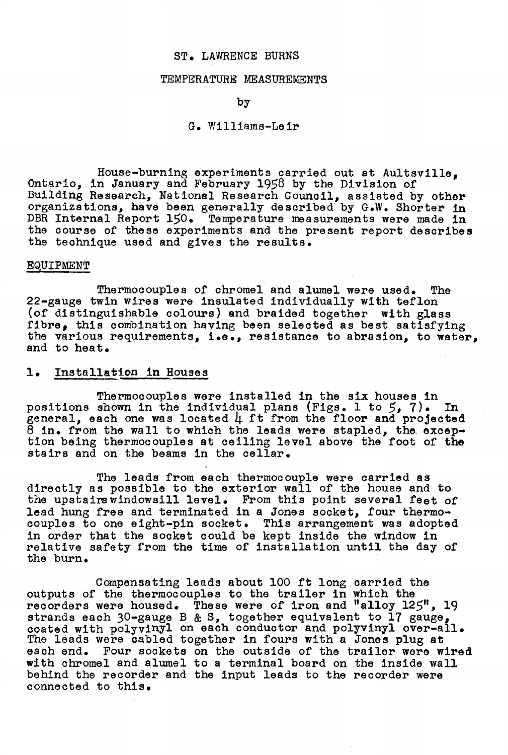#### ST. LAWRENCE BURNS

#### TEMPERATURE MEASUREMENTS

by

#### G. Williams-Leir

House-burning experiments oarried out at Aultsville, Ontario, in January and February 1958 by the Division of Building Research, National Researoh Counoil, assisted by other organizations, have been generally desoribed by G.W. Shorter in DBR Internal Report 150. Temperature measurements were made in the oourse of these experiments and the present report desoribes the teohnique used and gives the results.

#### EQUIPMENT

Thermocouples of chromel and alumel were used. The 22-gauge twin wires were insulated individually with teflon (of distinguishable colours) and braided together with glass<br>fibre, this combination having been selected as best satisfying the various requirements, i.e., resistance to abrasion, to water, and to heat.

### 1. Installation in Houses

Thermocouples were installed in the six houses in positions shown in the individual plans (Figs. 1 to 5, 7). In positions shown in the individual plans (rigs. 1 to 5, 7). In<br>general, each one was located 4 ft from the floor and projected 8 in. from the wall to which the leads were stapled, the excep-<br>tion being thermocouples at ceiling level above the foot of the stairs and on the beams in the cellar.

The leads from each thermocouple were carried as direotly as possible to the exterior wall of the house and to the upstairs windowsill level. From this point several feet of lead hung free and terminated in a Jones sooket, four thermooouples to one eight-pin sooket. This arrangement was adopted in order that the sooket oould be kept inside the window in relative safety from the time of installation until the day of the burn.

Compensating leads about <sup>100</sup> ft long oarried the outputs of the thermoooupies to the trailer in whioh the recorders were housed. These were of iron and "alloy 125", 19 strands each 30-gauge B & S, together equivalent to 17 gauge, coated with polyvinyl on each conductor and polyvinyl over-all. The leads were cabled together in fours with a Jones plug at each end. Four sockets on the outside of the trailer were w Four sockets on the outside of the trailer were wired with ohromel and alumel to a terminal board on the inside wall behind the recorder and the input leads to the recorder were oonneoted to this.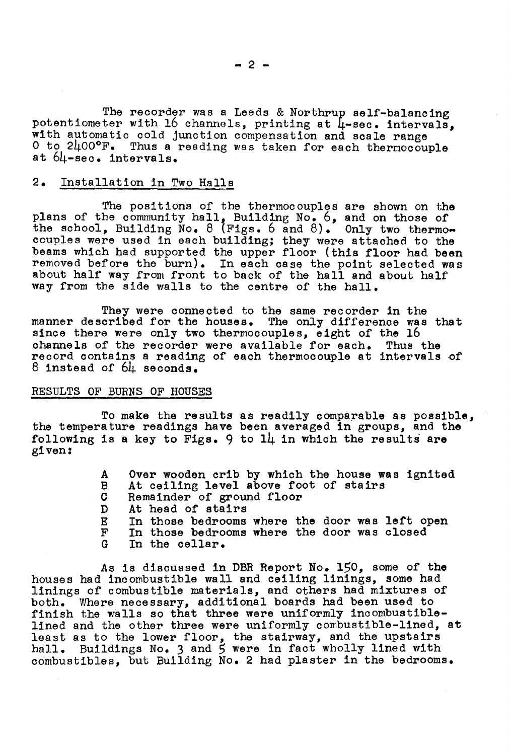The recorder was a Leeds & Northrup self-balancing potentiometer with 16 channels, printing at  $\mu$ -sec. intervals, with automatic cold junction compensation and scale range<br>O to 2400°F. Thus a reading was taken for each thermocouple at 64-8eo. intervals.

## 2. Installation in Two Halls

The positions of the thermocouples are shown on the plans of the community hall, Building No. 6, and on those of the school, Building No. 8 (Figs. 6 and 8). Only two thermocouples were used in each building; they were attached to the beams which had supported the upper floor (this floor had been removed before the burn). In each case the point selected was about half way from front to back of the hall and about half way from the side walls to the centre of the hall.

They were connected to the same recorder in the manner described for the houses. The only difference was that since there were only two thermocouples, eight of the 16 channels of the recorder were available for each. Thus the record contains a reading of each thermocouple at intervals of 8 instead of 64 seconds.

#### RESULTS OF BURNS OF HOUSES

To make the results as readily comparable as possible, the temperature readings have been averaged in groups, and the following is a key to Figs. 9 to  $1\mu$  in which the results are given:

> A Over wooden crib by which the house was ignited<br>B At ceiling level above foot of stairs B At ceiling level above foot of stairs<br>C Remainder of ground floor C – Remainder of ground floor<br>D – At head of stairs D At head of stairs<br>E In those bedrooms E In those bedrooms where the door was left open<br>F In those bedrooms where the door was closed F In those bedrooms where the door was closed<br>G In the cellar. In the cellar.

As is discussed in DBR Report *No.* 150, some of the houses had incombustible wall and ceiling linings, some had linings of combustible materials, and others had mixtures of both. Where necessary, additional boards had been used to finish the walls so that three were uniformly incombustiblelined and the other three were uniformly combustible-lined, at least as to the lower floor, the stairway, and the upstairs hall. Buildings No. 3 and 5 were in fact wholly lined with combustibles, but Building No. 2 had plaster in the bedrooms.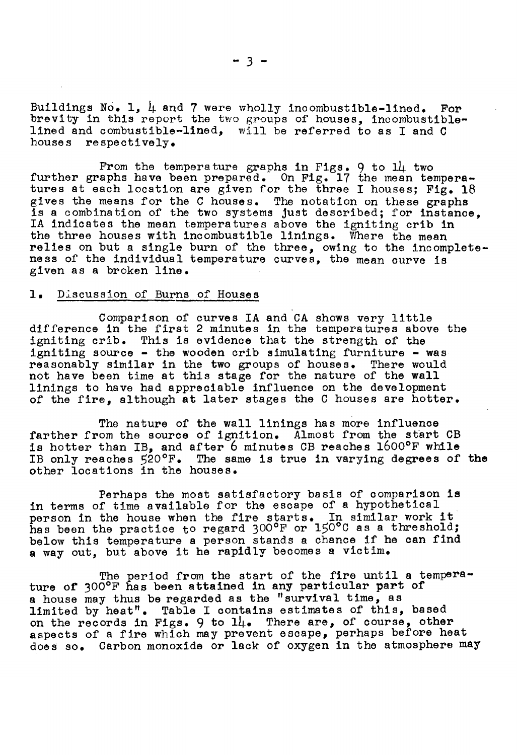Buildings No. 1,  $\mu$  and 7 were wholly incombustible-lined. For brevity in this report the two groups of houses, incombustiblelined and combustible-lined, will be referred to as I and C houses respectively.

From the temperature graphs in Figs. 9 to 14 two further graphs have been prepared. On Fig. 17 the mean temperatures at each location are given for the three I houses; Fig. 18 gives the means for the <sup>C</sup> houses. The notation on these graphs is <sup>a</sup> combination of the two systems just desoribed; for instanoe, IA indioates the mean temperatures above the igniting crib in the three houses with incombustible linings. Where the mean relies on but a single burn of the three, owing to the incompleteness of the individual temperature curves, the mean curve is given as a broken line.

## 1. Discussion of Burns of Houses

Comparison of curves IA and CA shows very little difference in the first <sup>2</sup> minutes in the temperatures above the igniting crib. This is evidence that the strength of the igniting source - the wooden crib simulating furniture - was reasonably similar in the two groups of houses. There would not have been time at this stage for the nature of the wall linings to have had appreoiable influence on the development of the fire, although at later stages the C houses are hotter.

The nature of the wall linings has more influence farther from the source of ignition. Almost from the start CB is hotter than IB, and after 6 minutes CB reaches 1600°F while IB only reaches 520°F. The same is true in varying degrees of the other locations in the houses.

Perhaps the most satisfactory basis of oomparison is in terms of time available for the escape of a hypothetioal in terms of time available for the escape of a hypothetical<br>person in the house when the fire starts. In similar work it has been the practice to regard 300°F or 150°C as a threshold; below this temperature <sup>a</sup> person stands <sup>a</sup> ohanoe if he oan find <sup>a</sup> way out, but above it he rapidly beoomes <sup>a</sup> viotim.

The period from the start of the fire until a temperature or 300°F has been attained in any partioular part of a house may thus be regarded as the "survival time, as limited by heat". Table I oontains estimates of this, based on the records in Figs. 9 to 14. There are, of course, other aspeots of a fire which may prevent esoape, perhaps before heat does so. Carbon monoxide or lack of oxygen in the atmosphere may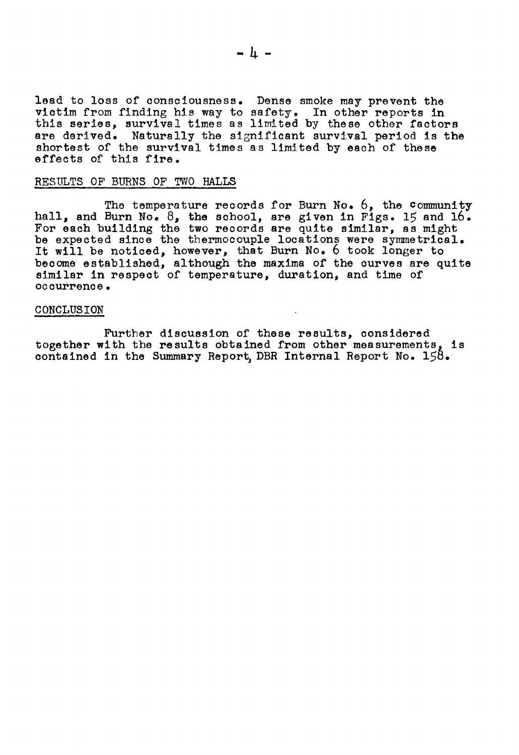lead to loss of oonsciousness. Dense smoke may prevent the victim from finding his way to safety. In other reports in this series, survival times as limited by these other factors<br>are derived. Naturally the significant survival period is the Naturally the significant survival period is the shortest of the survival times as limited by each of these effects of this fire.

#### RESTILTS OF BURNS OF TWO HALLS

The temperature records for Burn No. 6, the community hall, and Burn No. 8, the school, are given in Figs. 15 and 16. For each building the two records are quite similar, as might be expected since the thermocouple locations were symmetrical. Let will be noticed, however, that Burn No. 6 took longer to become established, although the maxima of the curves are quite similar in respect of temperature, duration, and time of occurrence.

#### CONCLUSION

Further discussion of these results, considered together with the results obtained from other measurements, is contained in the Summary Report DBR Internal Report No.  $158$ .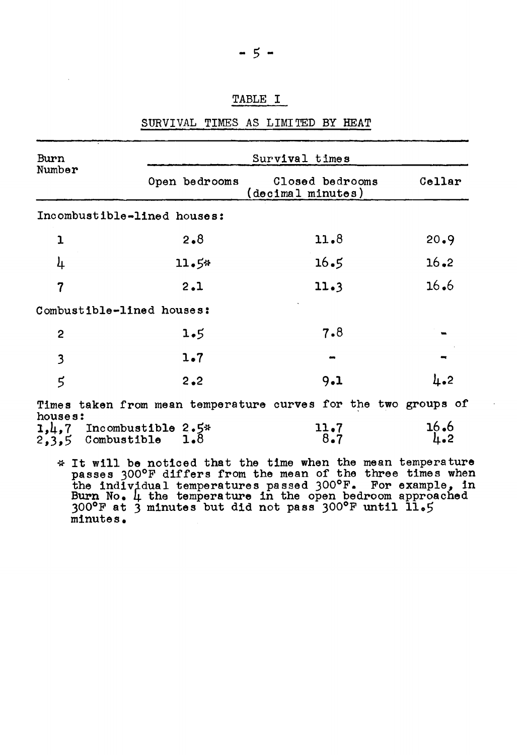## TABLE I

| Burn                           | Survival times                                                 |                                      |                           |  |
|--------------------------------|----------------------------------------------------------------|--------------------------------------|---------------------------|--|
| Number                         | Open bedrooms                                                  | Closed bedrooms<br>(decimal minutes) | Cellar                    |  |
|                                | Incombustible-lined houses:                                    |                                      |                           |  |
| 1                              | $2 - 8$                                                        | 11.8                                 | 20.9                      |  |
| 4                              | 11.5*                                                          | 16.5                                 | $16 - 2$                  |  |
| $\overline{7}$                 | 2.1                                                            | 11.3                                 | 16.6                      |  |
|                                | Combustible-lined houses:                                      |                                      |                           |  |
| $\overline{c}$                 | 1.5                                                            | 7.8                                  |                           |  |
| $\mathbf{3}$                   | 1.7                                                            |                                      |                           |  |
| $\mathbf 5$                    | 2.2                                                            | 9.1                                  | $\mu_{\bullet}$ 2         |  |
|                                | Times taken from mean temperature curves for the two groups of |                                      |                           |  |
| houses:<br>$2,3,5$ Combustible | $1, 4, 7$ Incombustible 2.5*<br>1.8                            | 11.7<br>8.7                          | 16.6<br>$\mu_{\bullet}$ 2 |  |

## SURVIVAL TIMES AS LIMITED BY HEAT

passes 300°F differs from the mean of the three times when passes 500 F differs from the mean of the three times when<br>the individual temperatures passed 300°F. For example, in Burn No. 4 the temperature in the open bedroom approached 300°F at 3 minutes but did not pass 300°F until 11.5 minutes.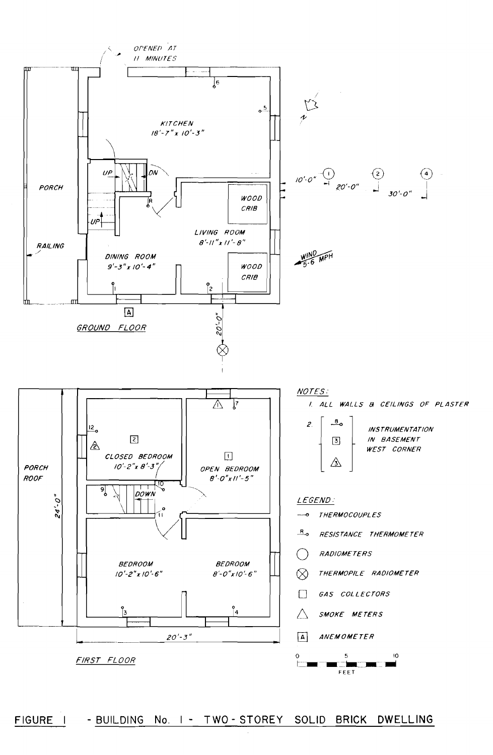

FIGURE I - BUILDING No. I - TWO-STOREY SOLID BRICK DWELLING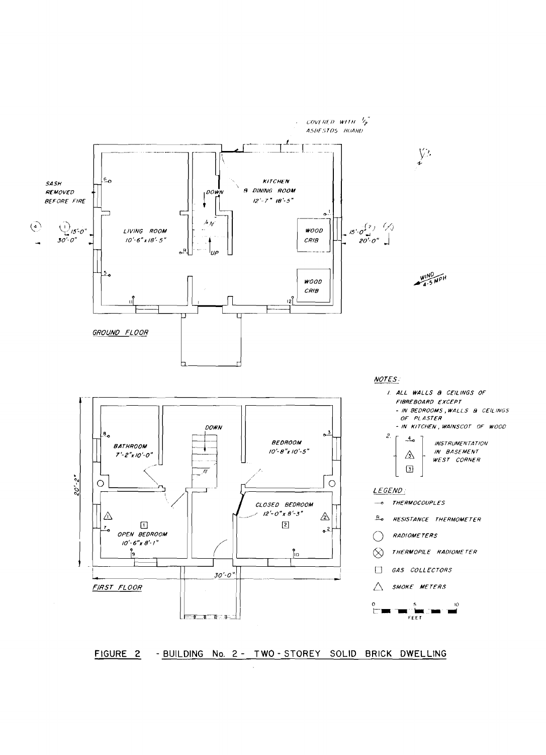

FIGURE 2 - BUILDING No. 2 - TWO-STOREY SOLID BRICK DWELLING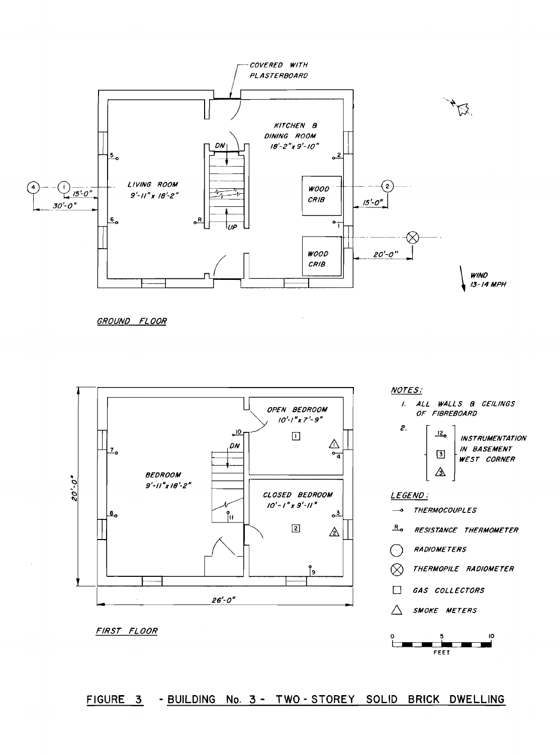

GROUND FLOOR



FIRST FLOOR

## FIGURE 3 - BUILDING No. 3 - TWO-STOREY SOLID BRICK DWELLING

ю

5 t  $FET$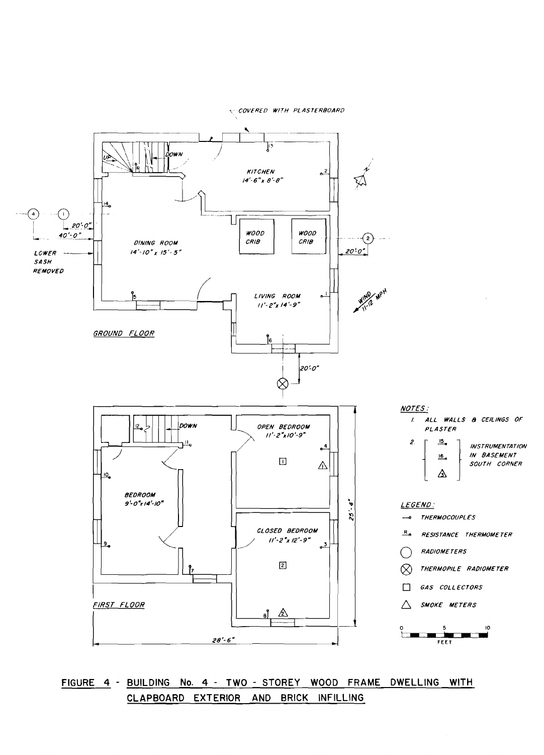COVERED WITH PLASTERBOARD



## FIGURE 4 - BUILDING No. 4 - TWO - STOREY WOOD FRAME DWELLING WITH CLAPBOARD EXTERIOR AND BRICK INFILLING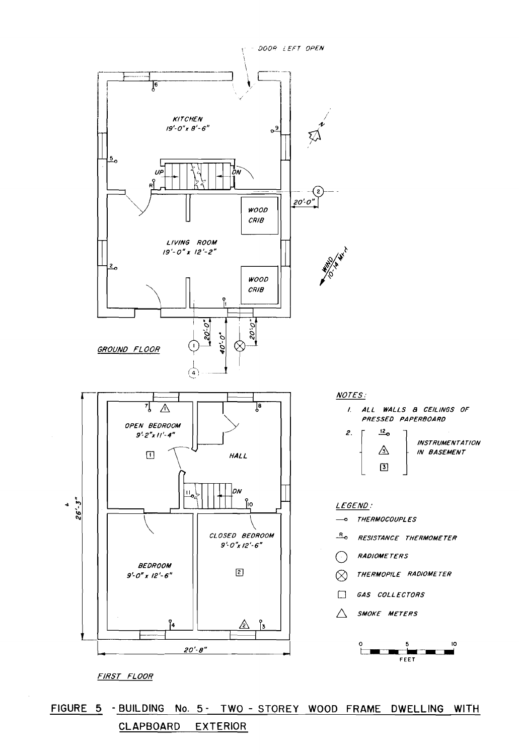

FIGURE 5 - BUILDING No. 5- TWO - STOREY WOOD FRAME DWELLING WITH **CLAPBOARD EXTERIOR**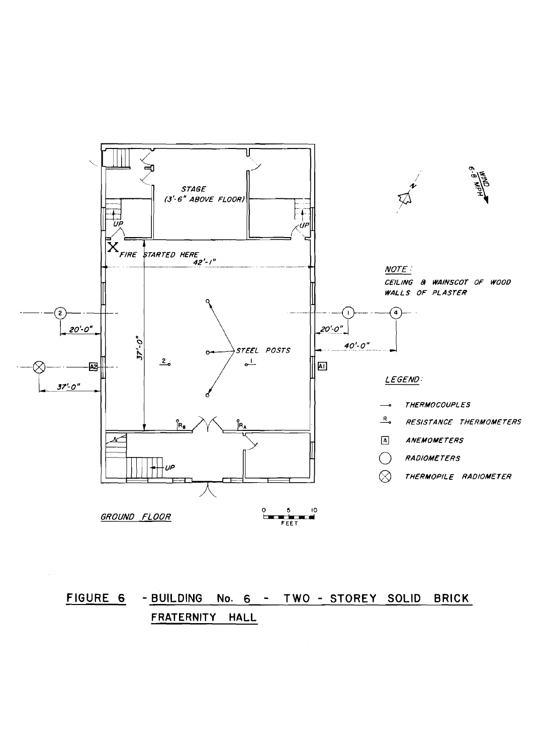

# FIGURE 6 - BUILDING No. 6 - TWO - STOREY SOLID BRICK FRATERNITY HALL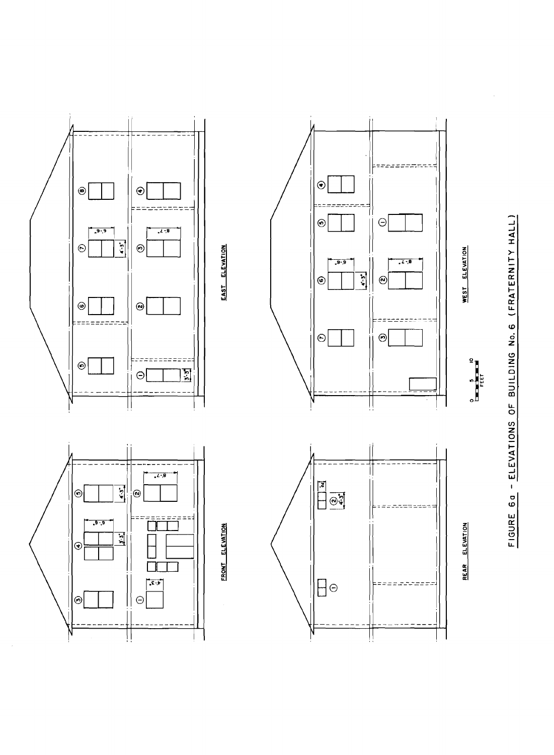$\odot$  $\circledcirc$  $\odot$  $\Theta$  $\odot$  $-9 - 9$  $\overline{t}$  ,  $\overline{t}$  $\frac{1}{4}$  $\odot$  $\odot$ EAST ELEVATION  $9 - 9$  $7 - 8$ 디  $\circledcirc$  $\odot$  $\odot$  $\circledcirc$ ---- $\odot$  $\boldsymbol{\Theta}$  $\odot$  $\frac{1}{2}$  $\Theta$  $3, 2.$  $\begin{array}{c}\n\overline{\mathbf{12}} \\
\hline\n\overline{\mathbf{13}} \\
\hline\n\overline{\mathbf{14}} \\
\hline\n\overline{\mathbf{15}} \\
\hline\n\overline{\mathbf{16}} \\
\hline\n\overline{\mathbf{17}} \\
\hline\n\overline{\mathbf{18}} \\
\hline\n\overline{\mathbf{18}} \\
\hline\n\overline{\mathbf{18}} \\
\hline\n\overline{\mathbf{18}} \\
\hline\n\overline{\mathbf{18}} \\
\hline\n\overline{\mathbf{18}} \\
\hline\n\overline{\mathbf{18}} \\
\hline\n\overline{\mathbf{18}} \\
\hline\n\over$  $\frac{1}{2}$  $\overline{\odot}$  $\odot$  $-9 - 9$ Г FRONT ELEVATION  $\frac{1}{2}$  $\odot$  $\frac{1}{\sqrt{2}}$  $\Box$  $\Theta$  $\odot$ 

FIGURE 60 - ELEVATIONS OF BUILDING No. 6 (FRATERNITY HALL)

WEST ELEVATION

 $\begin{array}{c}\n0 \\
\hline\n\end{array}$ 

REAR ELEVATION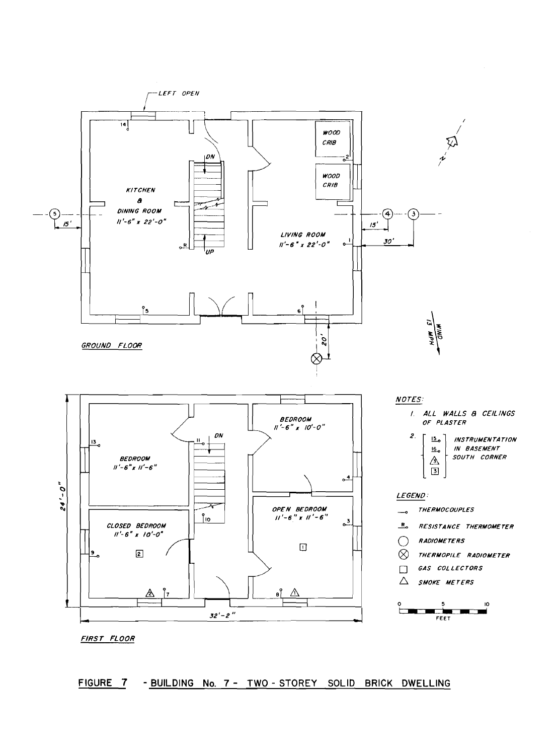

FIRST FLOOR

## FIGURE 7 - BUILDING No. 7 - TWO - STOREY SOLID BRICK DWELLING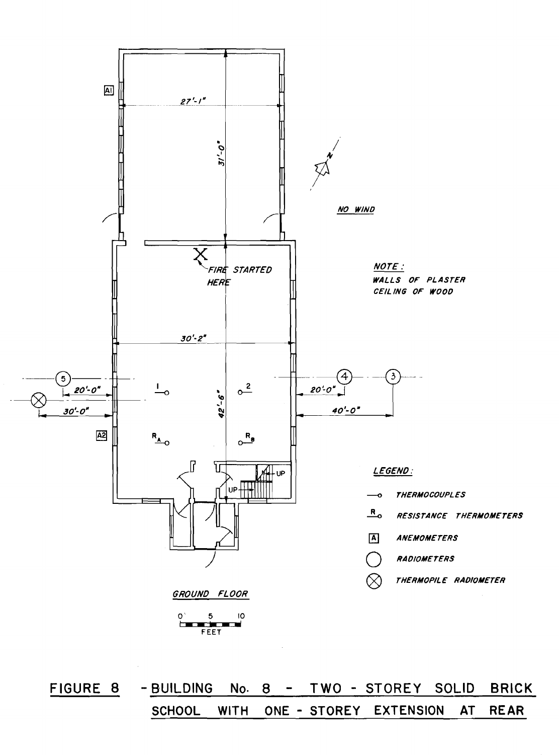

FIGURE 8 TWO - STOREY SOLID - BUILDING  $No. 8 -$ **BRICK SCHOOL WITH** ONE - STOREY EXTENSION **AT REAR**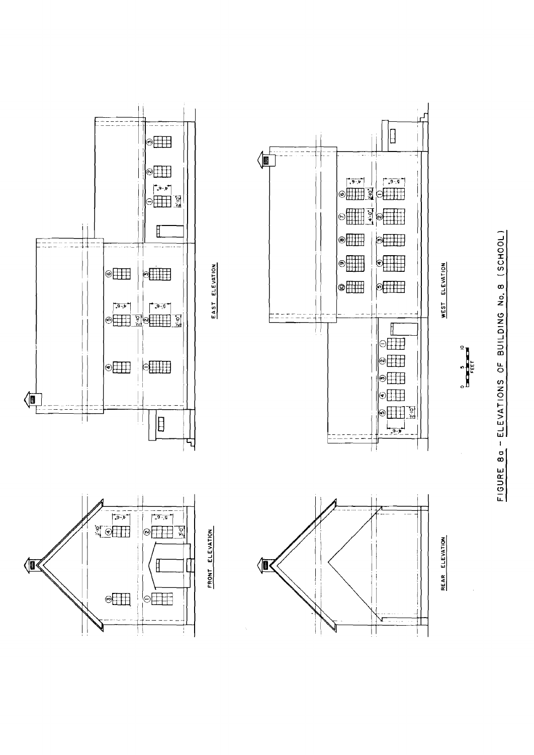





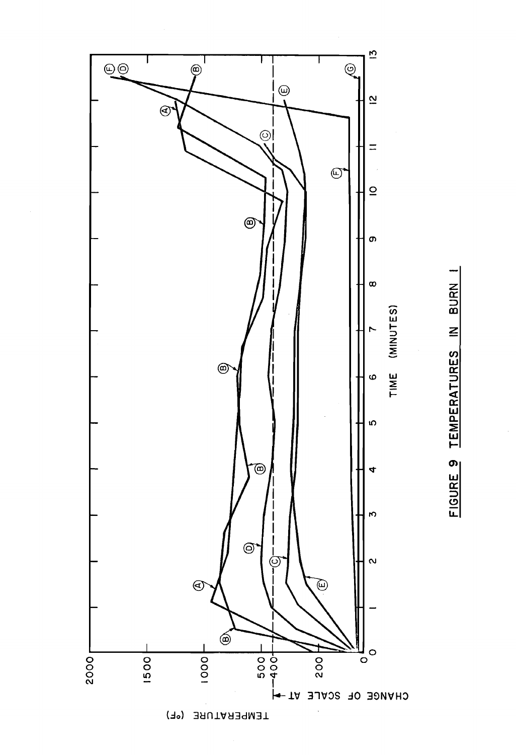



TEMPERATURE (°F)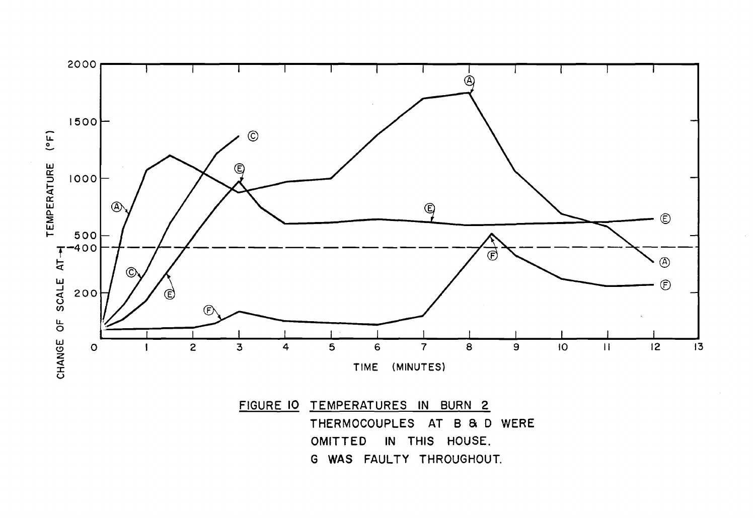

G WAS FAULTY THROUGHOUT.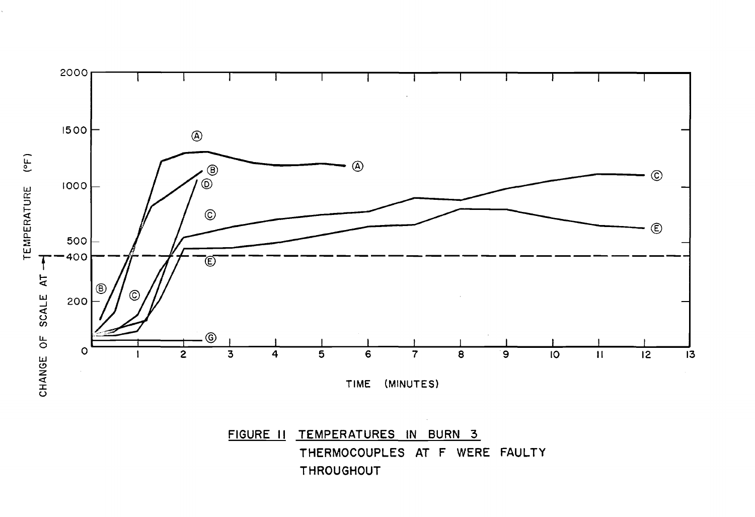

**THROUGHOUT**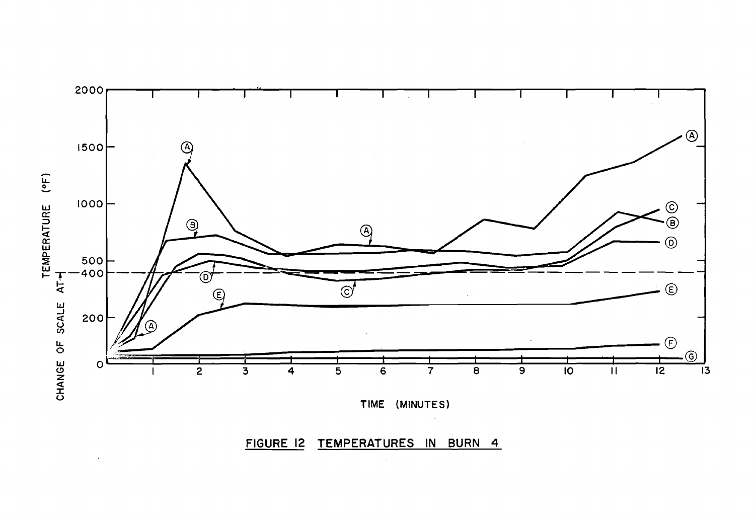

TIME (MINUTES)

FIGURE 12 TEMPERATURES IN BURN 4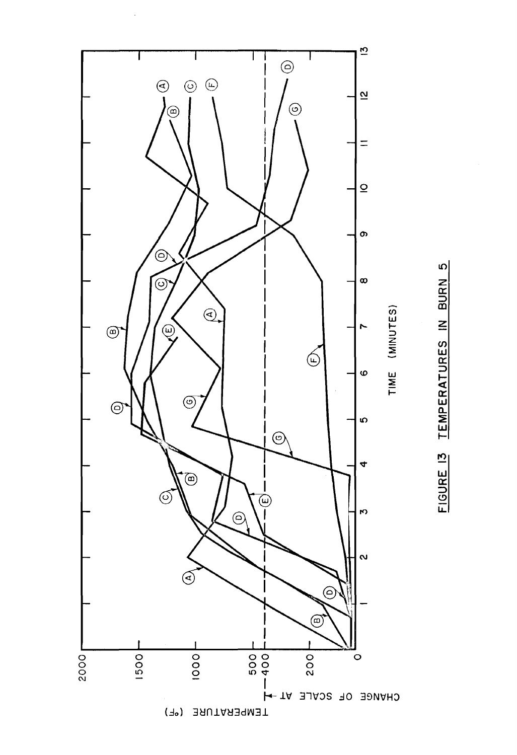

TEMPERATURES IN BURN 5 **FIGURE 13**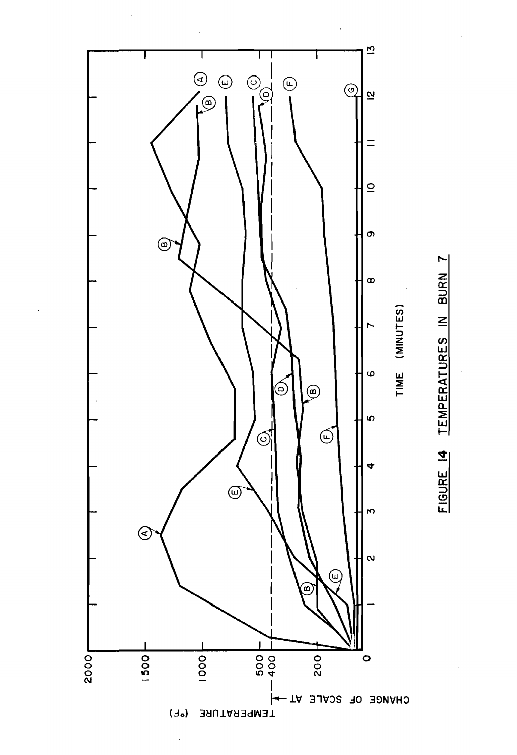

FIGURE 14 TEMPERATURES IN BURN 7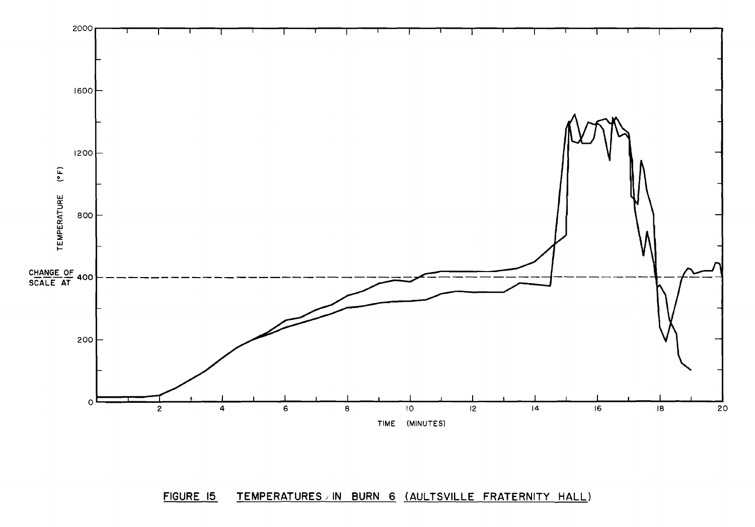

#### TEMPERATURES IN BURN 6 (AULTSVILLE FRATERNITY HALL) FIGURE 15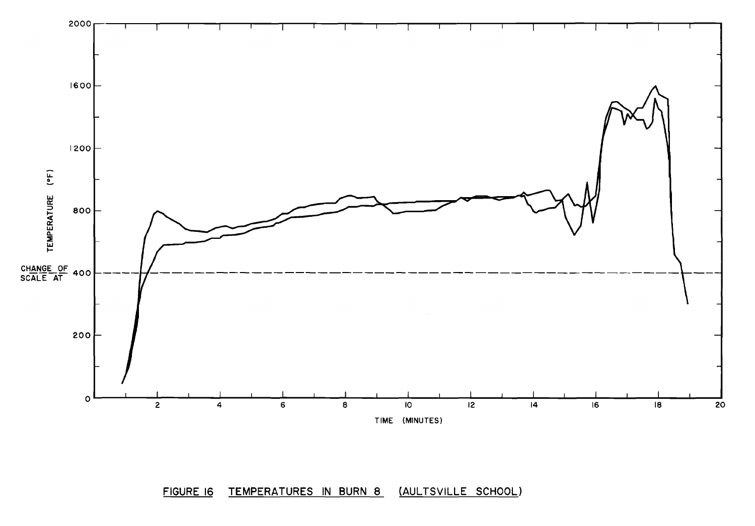

TEMPERATURES IN BURN 8 (AULTSVILLE SCHOOL) FIGURE 16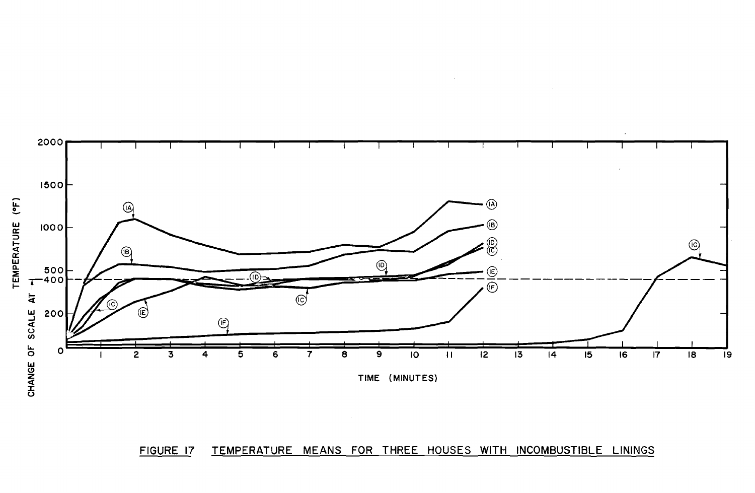



 $\sim$